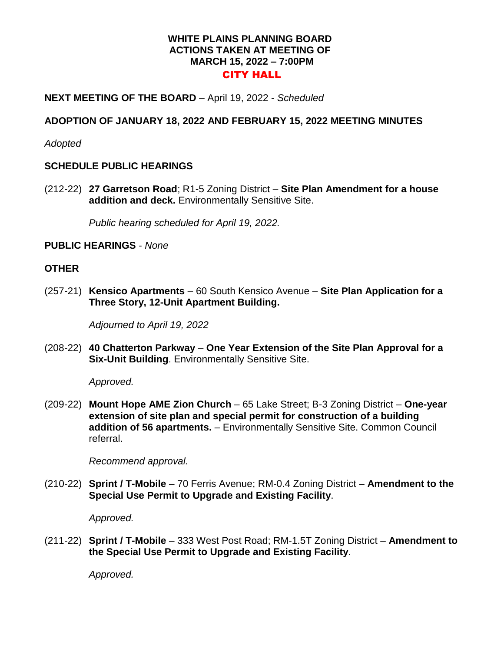### **WHITE PLAINS PLANNING BOARD ACTIONS TAKEN AT MEETING OF MARCH 15, 2022 – 7:00PM**  CITY HALL

# **NEXT MEETING OF THE BOARD** – April 19, 2022 - *Scheduled*

## **ADOPTION OF JANUARY 18, 2022 AND FEBRUARY 15, 2022 MEETING MINUTES**

*Adopted*

#### **SCHEDULE PUBLIC HEARINGS**

(212-22) **27 Garretson Road**; R1-5 Zoning District – **Site Plan Amendment for a house addition and deck.** Environmentally Sensitive Site.

*Public hearing scheduled for April 19, 2022.*

# **PUBLIC HEARINGS** - *None*

#### **OTHER**

(257-21) **Kensico Apartments** – 60 South Kensico Avenue – **Site Plan Application for a Three Story, 12-Unit Apartment Building.** 

*Adjourned to April 19, 2022*

(208-22) **40 Chatterton Parkway** – **One Year Extension of the Site Plan Approval for a Six-Unit Building**. Environmentally Sensitive Site.

*Approved.*

(209-22) **Mount Hope AME Zion Church** – 65 Lake Street; B-3 Zoning District – **One-year extension of site plan and special permit for construction of a building addition of 56 apartments.** – Environmentally Sensitive Site. Common Council referral.

*Recommend approval.*

(210-22) **Sprint / T-Mobile** – 70 Ferris Avenue; RM-0.4 Zoning District – **Amendment to the Special Use Permit to Upgrade and Existing Facility**.

*Approved.*

(211-22) **Sprint / T-Mobile** – 333 West Post Road; RM-1.5T Zoning District – **Amendment to the Special Use Permit to Upgrade and Existing Facility**.

*Approved.*